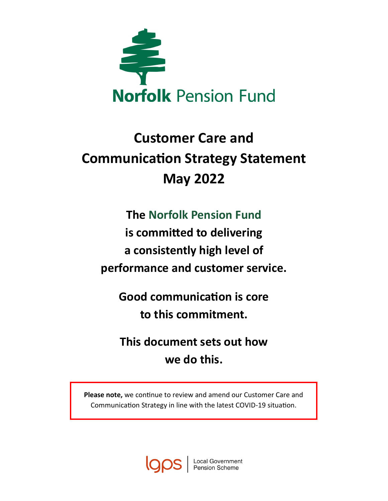

# **Customer Care and Communication Strategy Statement May 2022**

## **The Norfolk Pension Fund**

**is committed to delivering a consistently high level of performance and customer service.** 

**Good communication is core to this commitment.** 

**This document sets out how we do this.** 

**Please note,** we continue to review and amend our Customer Care and Communication Strategy in line with the latest COVID-19 situation.

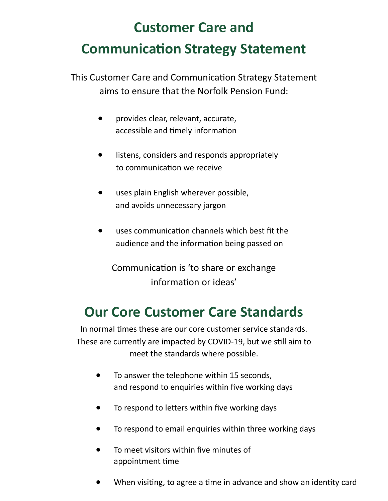# **Customer Care and Communication Strategy Statement**

This Customer Care and Communication Strategy Statement aims to ensure that the Norfolk Pension Fund:

- provides clear, relevant, accurate, accessible and timely information
- listens, considers and responds appropriately to communication we receive
- uses plain English wherever possible, and avoids unnecessary jargon
- uses communication channels which best fit the audience and the information being passed on

Communication is 'to share or exchange information or ideas'

## **Our Core Customer Care Standards**

In normal times these are our core customer service standards. These are currently are impacted by COVID-19, but we still aim to meet the standards where possible.

- To answer the telephone within 15 seconds, and respond to enquiries within five working days
- To respond to letters within five working days
- To respond to email enquiries within three working days
- To meet visitors within five minutes of appointment time
- When visiting, to agree a time in advance and show an identity card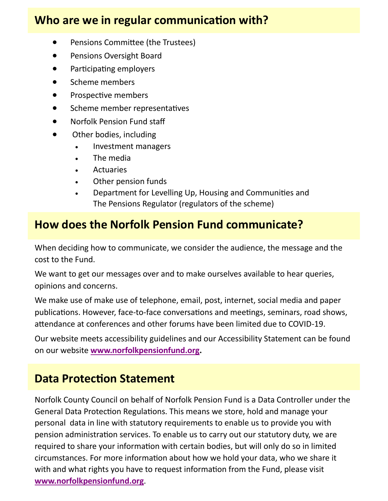## **Who are we in regular communication with?**

- Pensions Committee (the Trustees)
- Pensions Oversight Board
- Participating employers
- Scheme members
- Prospective members
- Scheme member representatives
- Norfolk Pension Fund staff
- Other bodies, including
	- Investment managers
	- The media
	- **Actuaries**
	- Other pension funds
	- Department for Levelling Up, Housing and Communities and The Pensions Regulator (regulators of the scheme)

## **How does the Norfolk Pension Fund communicate?**

When deciding how to communicate, we consider the audience, the message and the cost to the Fund.

We want to get our messages over and to make ourselves available to hear queries, opinions and concerns.

We make use of make use of telephone, email, post, internet, social media and paper publications. However, face-to-face conversations and meetings, seminars, road shows, attendance at conferences and other forums have been limited due to COVID-19.

Our website meets accessibility guidelines and our Accessibility Statement can be found on our website **[www.norfolkpensionfund.org.](http://www.norfolkpensionfund.org)** 

## **Data Protection Statement**

Norfolk County Council on behalf of Norfolk Pension Fund is a Data Controller under the General Data Protection Regulations. This means we store, hold and manage your personal data in line with statutory requirements to enable us to provide you with pension administration services. To enable us to carry out our statutory duty, we are required to share your information with certain bodies, but will only do so in limited circumstances. For more information about how we hold your data, who we share it with and what rights you have to request information from the Fund, please visit **[www.norfolkpensionfund.org](http://www.norfolkpensionfund.org/governance/norfolk-pension-fund-full-privacy-notice/)**.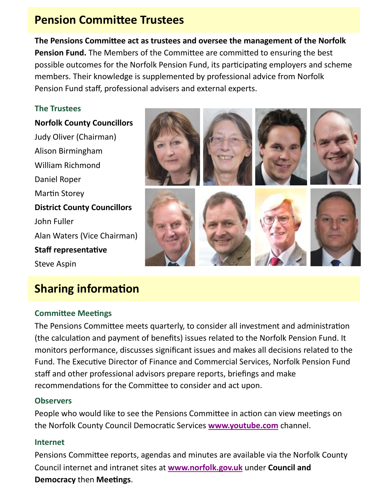## **Pension Committee Trustees**

**The Pensions Committee act as trustees and oversee the management of the Norfolk Pension Fund.** The Members of the Committee are committed to ensuring the best possible outcomes for the Norfolk Pension Fund, its participating employers and scheme members. Their knowledge is supplemented by professional advice from Norfolk Pension Fund staff, professional advisers and external experts.

## **The Trustees**

**Norfolk County Councillors** Judy Oliver (Chairman) Alison Birmingham William Richmond Daniel Roper Martin Storey **District County Councillors** John Fuller Alan Waters (Vice Chairman) **Staff representative** Steve Aspin

## **Sharing information**

## **Committee Meetings**

The Pensions Committee meets quarterly, to consider all investment and administration (the calculation and payment of benefits) issues related to the Norfolk Pension Fund. It monitors performance, discusses significant issues and makes all decisions related to the Fund. The Executive Director of Finance and Commercial Services, Norfolk Pension Fund staff and other professional advisors prepare reports, briefings and make recommendations for the Committee to consider and act upon.

### **Observers**

People who would like to see the Pensions Committee in action can view meetings on the Norfolk County Council Democratic Services **[www.youtube.com](https://www.youtube.com/channel/UCdyUrFjYNPfPq5psa-LFIJA)** channel.

### **Internet**

Pensions Committee reports, agendas and minutes are available via the Norfolk County Council internet and intranet sites at **[www.norfolk.gov.uk](https://norfolkcc.cmis.uk.com/norfolkcc/Committees/tabid/62/ctl/ViewCMIS_CommitteeDetails/mid/381/id/30/Default.aspx)** under **Council and Democracy** then **Meetings**.

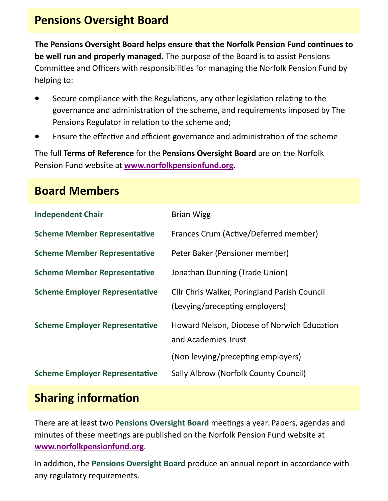## **Pensions Oversight Board**

**The Pensions Oversight Board helps ensure that the Norfolk Pension Fund continues to be well run and properly managed.** The purpose of the Board is to assist Pensions Committee and Officers with responsibilities for managing the Norfolk Pension Fund by helping to:

- Secure compliance with the Regulations, any other legislation relating to the governance and administration of the scheme, and requirements imposed by The Pensions Regulator in relation to the scheme and;
- Ensure the effective and efficient governance and administration of the scheme

The full **Terms of Reference** for the **Pensions Oversight Board** are on the Norfolk Pension Fund website at **[www.norfolkpensionfund.org](http://www.norfolkpensionfund.org/governance/local-pension-board/)**.

## **Board Members**

| <b>Independent Chair</b>              | <b>Brian Wigg</b>                                                                                        |
|---------------------------------------|----------------------------------------------------------------------------------------------------------|
| <b>Scheme Member Representative</b>   | Frances Crum (Active/Deferred member)                                                                    |
| <b>Scheme Member Representative</b>   | Peter Baker (Pensioner member)                                                                           |
| <b>Scheme Member Representative</b>   | Jonathan Dunning (Trade Union)                                                                           |
| <b>Scheme Employer Representative</b> | Cllr Chris Walker, Poringland Parish Council<br>(Levying/precepting employers)                           |
| <b>Scheme Employer Representative</b> | Howard Nelson, Diocese of Norwich Education<br>and Academies Trust<br>(Non levying/precepting employers) |
| <b>Scheme Employer Representative</b> | <b>Sally Albrow (Norfolk County Council)</b>                                                             |

## **Sharing information**

There are at least two **Pensions Oversight Board** meetings a year. Papers, agendas and minutes of these meetings are published on the Norfolk Pension Fund website at **[www.norfolkpensionfund.org](http://www.norfolkpensionfund.org/governance/local-pension-board/)**.

In addition, the **Pensions Oversight Board** produce an annual report in accordance with any regulatory requirements.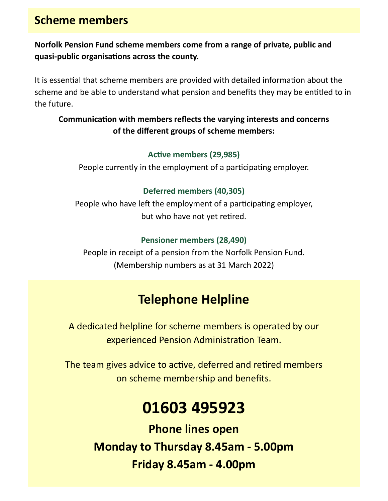## **Scheme members**

## **Norfolk Pension Fund scheme members come from a range of private, public and quasi-public organisations across the county.**

It is essential that scheme members are provided with detailed information about the scheme and be able to understand what pension and benefits they may be entitled to in the future.

## **Communication with members reflects the varying interests and concerns of the different groups of scheme members:**

## **Active members (29,985)**

People currently in the employment of a participating employer.

## **Deferred members (40,305)**

People who have left the employment of a participating employer, but who have not yet retired.

## **Pensioner members (28,490)**

People in receipt of a pension from the Norfolk Pension Fund. (Membership numbers as at 31 March 2022)

## **Telephone Helpline**

A dedicated helpline for scheme members is operated by our experienced Pension Administration Team.

The team gives advice to active, deferred and retired members on scheme membership and benefits.

# **01603 495923**

**Phone lines open Monday to Thursday 8.45am - 5.00pm Friday 8.45am - 4.00pm**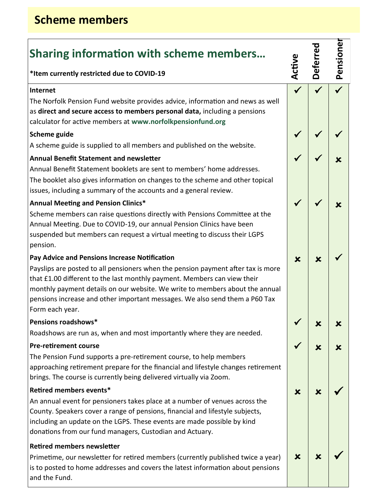## **Scheme members**

| <b>Sharing information with scheme members</b> |  |  |
|------------------------------------------------|--|--|
|                                                |  |  |

### **\*Item currently restricted due to COVID-19**

#### **Internet**

The Norfolk Pension Fund website provides advice, information and news as well as **direct and secure access to members personal data,** including a pensions calculator for active members at **www.norfolkpensionfund.org**

### **Scheme guide**

A scheme guide is supplied to all members and published on the website.

### **Annual Benefit Statement and newsletter**

Annual Benefit Statement booklets are sent to members' home addresses. The booklet also gives information on changes to the scheme and other topical issues, including a summary of the accounts and a general review.

### **Annual Meeting and Pension Clinics\***

Scheme members can raise questions directly with Pensions Committee at the Annual Meeting. Due to COVID-19, our annual Pension Clinics have been suspended but members can request a virtual meeting to discuss their LGPS pension.

### **Pay Advice and Pensions Increase Notification**

Payslips are posted to all pensioners when the pension payment after tax is more that £1.00 different to the last monthly payment. Members can view their monthly payment details on our website. We write to members about the annual pensions increase and other important messages. We also send them a P60 Tax Form each year.

### **Pensions roadshows\***

Roadshows are run as, when and most importantly where they are needed.

### **Pre-retirement course**

The Pension Fund supports a pre-retirement course, to help members approaching retirement prepare for the financial and lifestyle changes retirement brings. The course is currently being delivered virtually via Zoom.

### **Retired members events\***

An annual event for pensioners takes place at a number of venues across the County. Speakers cover a range of pensions, financial and lifestyle subjects, including an update on the LGPS. These events are made possible by kind donations from our fund managers, Custodian and Actuary.

### **Retired members newsletter**

Primetime, our newsletter for retired members (currently published twice a year) is to posted to home addresses and covers the latest information about pensions and the Fund.

| Pensioner |  |  | $\frac{1}{2}$        | × |   |   |
|-----------|--|--|----------------------|---|---|---|
| Deferred  |  |  | $\frac{1}{\sqrt{2}}$ | × | K | K |
| Active    |  |  |                      |   | X | X |
|           |  |  |                      |   |   |   |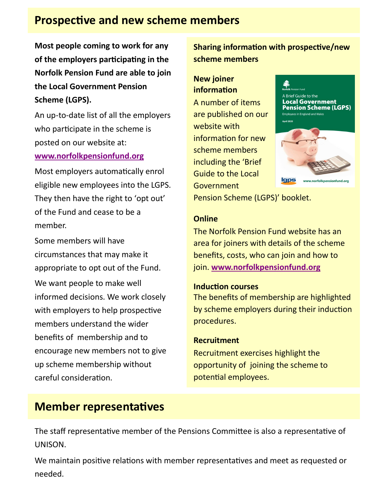## **Prospective and new scheme members**

**Most people coming to work for any of the employers participating in the Norfolk Pension Fund are able to join the Local Government Pension Scheme (LGPS).**

An up-to-date list of all the employers who participate in the scheme is posted on our website at:

### **[www.norfolkpensionfund.org](http://www.norfolkpensionfund.org/governance/scheme-employers/)**

Most employers automatically enrol eligible new employees into the LGPS. They then have the right to 'opt out' of the Fund and cease to be a member.

Some members will have circumstances that may make it appropriate to opt out of the Fund. We want people to make well informed decisions. We work closely with employers to help prospective members understand the wider benefits of membership and to encourage new members not to give up scheme membership without careful consideration.

**Sharing information with prospective/new scheme members**

## **New joiner information**

A number of items are published on our website with information for new scheme members including the 'Brief Guide to the Local Government



Pension Scheme (LGPS)' booklet.

### **Online**

The Norfolk Pension Fund website has an area for joiners with details of the scheme benefits, costs, who can join and how to join. **[www.norfolkpensionfund.org](http://www.norfolkpensionfund.org/joining/)**

## **Induction courses**

The benefits of membership are highlighted by scheme employers during their induction procedures.

## **Recruitment**

Recruitment exercises highlight the opportunity of joining the scheme to potential employees.

## **Member representatives**

The staff representative member of the Pensions Committee is also a representative of UNISON.

We maintain positive relations with member representatives and meet as requested or needed.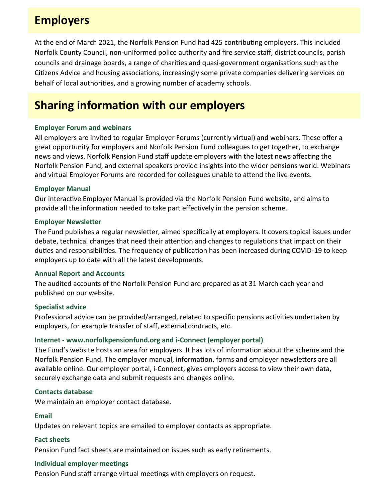## **Employers**

At the end of March 2021, the Norfolk Pension Fund had 425 contributing employers. This included Norfolk County Council, non-uniformed police authority and fire service staff, district councils, parish councils and drainage boards, a range of charities and quasi-government organisations such as the Citizens Advice and housing associations, increasingly some private companies delivering services on behalf of local authorities, and a growing number of academy schools.

## **Sharing information with our employers**

### **Employer Forum and webinars**

All employers are invited to regular Employer Forums (currently virtual) and webinars. These offer a great opportunity for employers and Norfolk Pension Fund colleagues to get together, to exchange news and views. Norfolk Pension Fund staff update employers with the latest news affecting the Norfolk Pension Fund, and external speakers provide insights into the wider pensions world. Webinars and virtual Employer Forums are recorded for colleagues unable to attend the live events.

### **Employer Manual**

Our interactive Employer Manual is provided via the Norfolk Pension Fund website, and aims to provide all the information needed to take part effectively in the pension scheme.

### **Employer Newsletter**

The Fund publishes a regular newsletter, aimed specifically at employers. It covers topical issues under debate, technical changes that need their attention and changes to regulations that impact on their duties and responsibilities. The frequency of publication has been increased during COVID-19 to keep employers up to date with all the latest developments.

### **Annual Report and Accounts**

The audited accounts of the Norfolk Pension Fund are prepared as at 31 March each year and published on our website.

### **Specialist advice**

Professional advice can be provided/arranged, related to specific pensions activities undertaken by employers, for example transfer of staff, external contracts, etc.

### **Internet - www.norfolkpensionfund.org and i-Connect (employer portal)**

The Fund's website hosts an area for employers. It has lots of information about the scheme and the Norfolk Pension Fund. The employer manual, information, forms and employer newsletters are all available online. Our employer portal, i-Connect, gives employers access to view their own data, securely exchange data and submit requests and changes online.

### **Contacts database**

We maintain an employer contact database.

### **Email**

Updates on relevant topics are emailed to employer contacts as appropriate.

#### **Fact sheets**

Pension Fund fact sheets are maintained on issues such as early retirements.

#### **Individual employer meetings**

Pension Fund staff arrange virtual meetings with employers on request.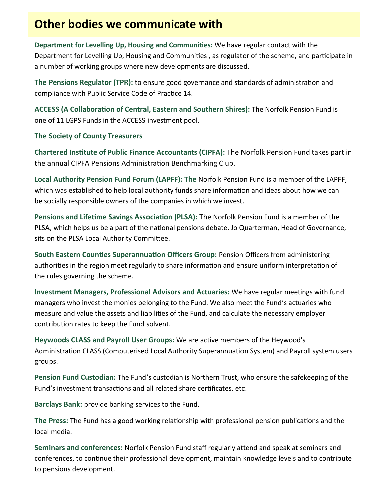## **Other bodies we communicate with**

**Department for Levelling Up, Housing and Communities:** We have regular contact with the Department for Levelling Up, Housing and Communities , as regulator of the scheme, and participate in a number of working groups where new developments are discussed.

**The Pensions Regulator (TPR):** to ensure good governance and standards of administration and compliance with Public Service Code of Practice 14.

**ACCESS (A Collaboration of Central, Eastern and Southern Shires):** The Norfolk Pension Fund is one of 11 LGPS Funds in the ACCESS investment pool.

### **The Society of County Treasurers**

**Chartered Institute of Public Finance Accountants (CIPFA):** The Norfolk Pension Fund takes part in the annual CIPFA Pensions Administration Benchmarking Club.

**Local Authority Pension Fund Forum (LAPFF): The** Norfolk Pension Fund is a member of the LAPFF, which was established to help local authority funds share information and ideas about how we can be socially responsible owners of the companies in which we invest.

**Pensions and Lifetime Savings Association (PLSA):** The Norfolk Pension Fund is a member of the PLSA, which helps us be a part of the national pensions debate. Jo Quarterman, Head of Governance, sits on the PLSA Local Authority Committee.

**South Eastern Counties Superannuation Officers Group:** Pension Officers from administering authorities in the region meet regularly to share information and ensure uniform interpretation of the rules governing the scheme.

**Investment Managers, Professional Advisors and Actuaries:** We have regular meetings with fund managers who invest the monies belonging to the Fund. We also meet the Fund's actuaries who measure and value the assets and liabilities of the Fund, and calculate the necessary employer contribution rates to keep the Fund solvent.

**Heywoods CLASS and Payroll User Groups:** We are active members of the Heywood's Administration CLASS (Computerised Local Authority Superannuation System) and Payroll system users groups.

**Pension Fund Custodian:** The Fund's custodian is Northern Trust, who ensure the safekeeping of the Fund's investment transactions and all related share certificates, etc.

**Barclays Bank:** provide banking services to the Fund.

**The Press:** The Fund has a good working relationship with professional pension publications and the local media.

**Seminars and conferences:** Norfolk Pension Fund staff regularly attend and speak at seminars and conferences, to continue their professional development, maintain knowledge levels and to contribute to pensions development.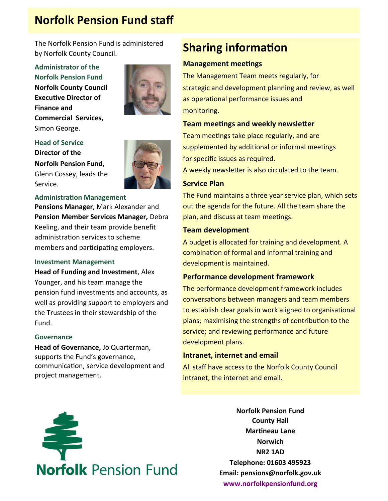## **Norfolk Pension Fund staff**

The Norfolk Pension Fund is administered by Norfolk County Council.

**Administrator of the Norfolk Pension Fund Norfolk County Council Executive Director of Finance and Commercial Services,**  Simon George.



### **Head of Service**

**Director of the Norfolk Pension Fund,**  Glenn Cossey, leads the Service.



#### **Administration Management**

**Pensions Manager**, Mark Alexander and **Pension Member Services Manager,** Debra Keeling, and their team provide benefit administration services to scheme members and participating employers.

#### **Investment Management**

**Head of Funding and Investment**, Alex Younger, and his team manage the pension fund investments and accounts, as well as providing support to employers and the Trustees in their stewardship of the Fund.

#### **Governance**

**Head of Governance,** Jo Quarterman, supports the Fund's governance, communication, service development and project management.

## **Sharing information**

#### **Management meetings**

The Management Team meets regularly, for strategic and development planning and review, as well as operational performance issues and monitoring.

#### **Team meetings and weekly newsletter**

Team meetings take place regularly, and are supplemented by additional or informal meetings for specific issues as required.

A weekly newsletter is also circulated to the team.

#### **Service Plan**

The Fund maintains a three year service plan, which sets out the agenda for the future. All the team share the plan, and discuss at team meetings.

#### **Team development**

A budget is allocated for training and development. A combination of formal and informal training and development is maintained.

#### **Performance development framework**

The performance development framework includes conversations between managers and team members to establish clear goals in work aligned to organisational plans; maximising the strengths of contribution to the service; and reviewing performance and future development plans.

#### **Intranet, internet and email**

All staff have access to the Norfolk County Council intranet, the internet and email.



**Norfolk Pension Fund County Hall Martineau Lane Norwich NR2 1AD Telephone: 01603 495923 Email: pensions@norfolk.gov.uk [www.norfolkpensionfund.org](http://www.norfolkpensionfund.org/)**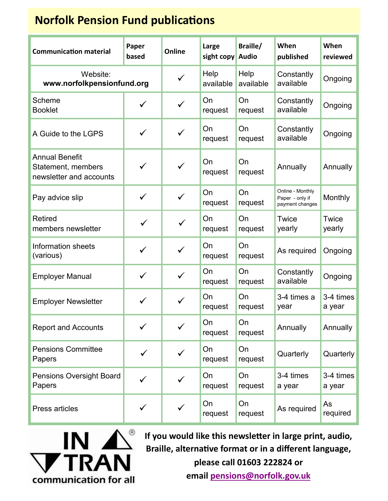## **Norfolk Pension Fund publications**

| <b>Communication material</b>                                          | Paper<br>based | Online       | Large<br>sight copy | Braille/<br><b>Audio</b> | When<br>published                                      | When<br>reviewed    |
|------------------------------------------------------------------------|----------------|--------------|---------------------|--------------------------|--------------------------------------------------------|---------------------|
| Website:<br>www.norfolkpensionfund.org                                 |                | $\checkmark$ | Help<br>available   | Help<br>available        | Constantly<br>available                                | Ongoing             |
| Scheme<br><b>Booklet</b>                                               | $\checkmark$   | $\checkmark$ | On<br>request       | On<br>request            | Constantly<br>available                                | Ongoing             |
| A Guide to the LGPS                                                    | ✓              | $\checkmark$ | On<br>request       | On<br>request            | Constantly<br>available                                | Ongoing             |
| <b>Annual Benefit</b><br>Statement, members<br>newsletter and accounts | $\checkmark$   | $\checkmark$ | On<br>request       | On<br>request            | Annually                                               | Annually            |
| Pay advice slip                                                        | $\checkmark$   | $\checkmark$ | On<br>request       | On<br>request            | Online - Monthly<br>Paper - only if<br>payment changes | Monthly             |
| <b>Retired</b><br>members newsletter                                   |                | $\checkmark$ | On<br>request       | On<br>request            | Twice<br>yearly                                        | Twice<br>yearly     |
| Information sheets<br>(various)                                        | ✓              | $\checkmark$ | On<br>request       | On<br>request            | As required                                            | Ongoing             |
| <b>Employer Manual</b>                                                 | ✓              | $\checkmark$ | On<br>request       | On<br>request            | Constantly<br>available                                | Ongoing             |
| <b>Employer Newsletter</b>                                             | ✓              | $\checkmark$ | On<br>request       | On<br>request            | 3-4 times a<br>year                                    | 3-4 times<br>a year |
| <b>Report and Accounts</b>                                             |                | ✓            | On<br>request       | On<br>request            | Annually                                               | Annually            |
| <b>Pensions Committee</b><br>Papers                                    | $\checkmark$   | $\checkmark$ | On<br>request       | On<br>request            | Quarterly                                              | Quarterly           |
| <b>Pensions Oversight Board</b><br>Papers                              | ✓              | $\checkmark$ | On<br>request       | On<br>request            | 3-4 times<br>a year                                    | 3-4 times<br>a year |
| Press articles                                                         | $\checkmark$   |              | On<br>request       | On<br>request            | As required                                            | As<br>required      |



**If you would like this newsletter in large print, audio, Braille, alternative format or in a different language,** 

**please call 01603 222824 or** 

**email [pensions@norfolk.gov.uk](mailto:pensions@norfolk.gov.uk)**